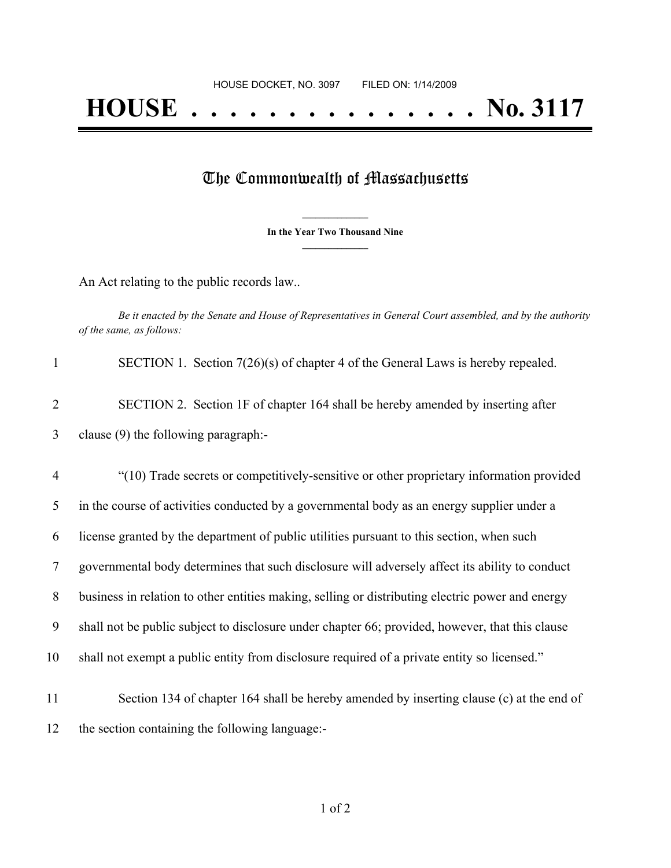## The Commonwealth of Massachusetts

**\_\_\_\_\_\_\_\_\_\_\_\_\_\_\_ In the Year Two Thousand Nine \_\_\_\_\_\_\_\_\_\_\_\_\_\_\_**

An Act relating to the public records law..

Be it enacted by the Senate and House of Representatives in General Court assembled, and by the authority *of the same, as follows:*

|                | SECTION 1. Section $7(26)(s)$ of chapter 4 of the General Laws is hereby repealed.       |
|----------------|------------------------------------------------------------------------------------------|
| 2              | SECTION 2. Section 1F of chapter 164 shall be hereby amended by inserting after          |
| 3              | clause (9) the following paragraph:-                                                     |
| $\overline{4}$ | "(10) Trade secrets or competitively-sensitive or other proprietary information provided |
|                |                                                                                          |

 in the course of activities conducted by a governmental body as an energy supplier under a license granted by the department of public utilities pursuant to this section, when such governmental body determines that such disclosure will adversely affect its ability to conduct business in relation to other entities making, selling or distributing electric power and energy shall not be public subject to disclosure under chapter 66; provided, however, that this clause shall not exempt a public entity from disclosure required of a private entity so licensed." Section 134 of chapter 164 shall be hereby amended by inserting clause (c) at the end of

12 the section containing the following language:-